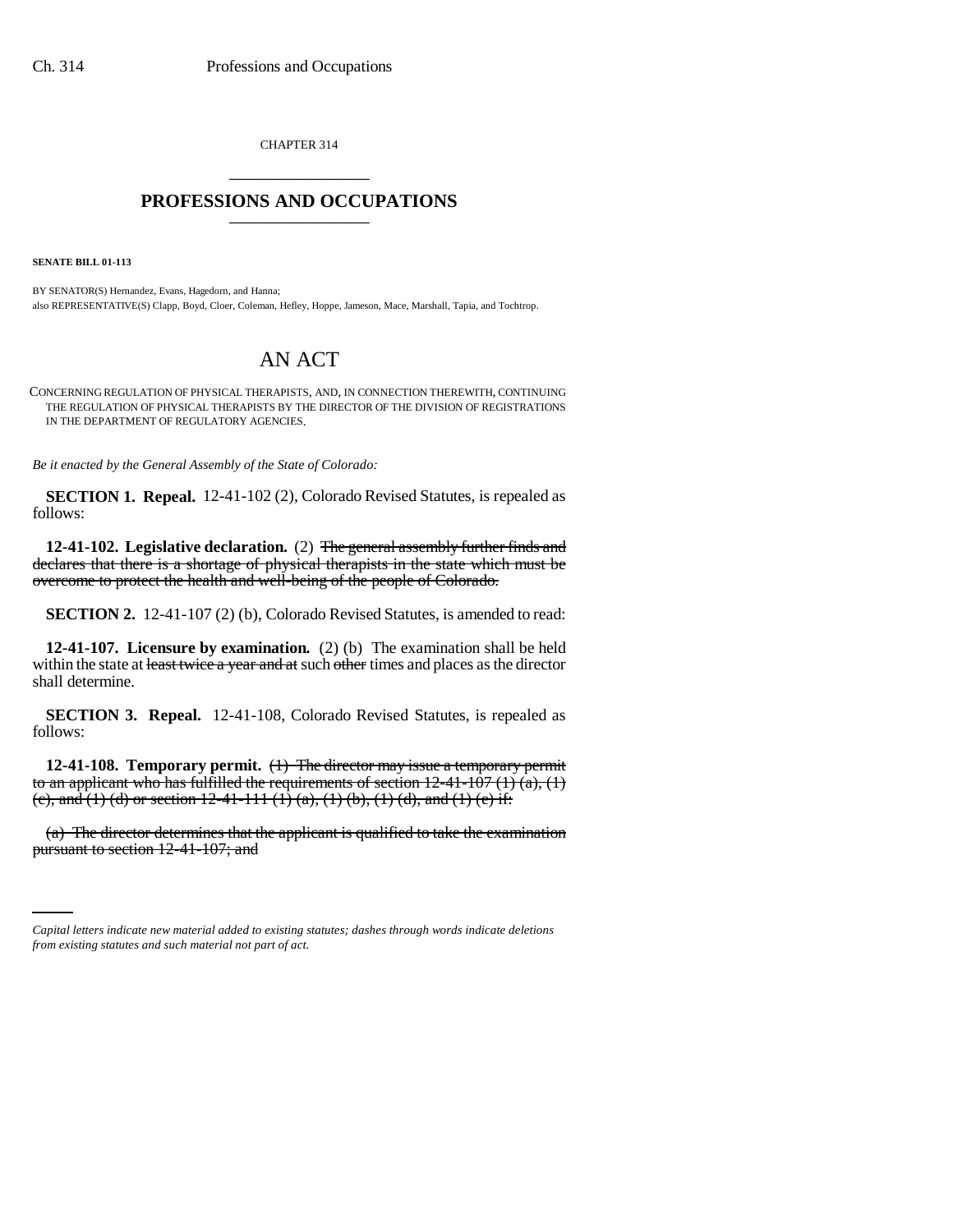CHAPTER 314 \_\_\_\_\_\_\_\_\_\_\_\_\_\_\_

## **PROFESSIONS AND OCCUPATIONS** \_\_\_\_\_\_\_\_\_\_\_\_\_\_\_

**SENATE BILL 01-113**

BY SENATOR(S) Hernandez, Evans, Hagedorn, and Hanna; also REPRESENTATIVE(S) Clapp, Boyd, Cloer, Coleman, Hefley, Hoppe, Jameson, Mace, Marshall, Tapia, and Tochtrop.

## AN ACT

CONCERNING REGULATION OF PHYSICAL THERAPISTS, AND, IN CONNECTION THEREWITH, CONTINUING THE REGULATION OF PHYSICAL THERAPISTS BY THE DIRECTOR OF THE DIVISION OF REGISTRATIONS IN THE DEPARTMENT OF REGULATORY AGENCIES.

*Be it enacted by the General Assembly of the State of Colorado:*

**SECTION 1. Repeal.** 12-41-102 (2), Colorado Revised Statutes, is repealed as follows:

**12-41-102. Legislative declaration.** (2) The general assembly further finds and declares that there is a shortage of physical therapists in the state which must be overcome to protect the health and well-being of the people of Colorado.

**SECTION 2.** 12-41-107 (2) (b), Colorado Revised Statutes, is amended to read:

**12-41-107. Licensure by examination.** (2) (b) The examination shall be held within the state at least twice a year and at such other times and places as the director shall determine.

**SECTION 3. Repeal.** 12-41-108, Colorado Revised Statutes, is repealed as follows:

**12-41-108. Temporary permit.** (1) The director may issue a temporary permit to an applicant who has fulfilled the requirements of section  $12-41-107(1)(a)$ ,  $(1)$ (e), and (1) (d) or section 12-41-111 (1) (a), (1) (b), (1) (d), and (1) (e) if:

(a) The director determines that the applicant is qualified to take the examination pursuant to section 12-41-107; and

*Capital letters indicate new material added to existing statutes; dashes through words indicate deletions from existing statutes and such material not part of act.*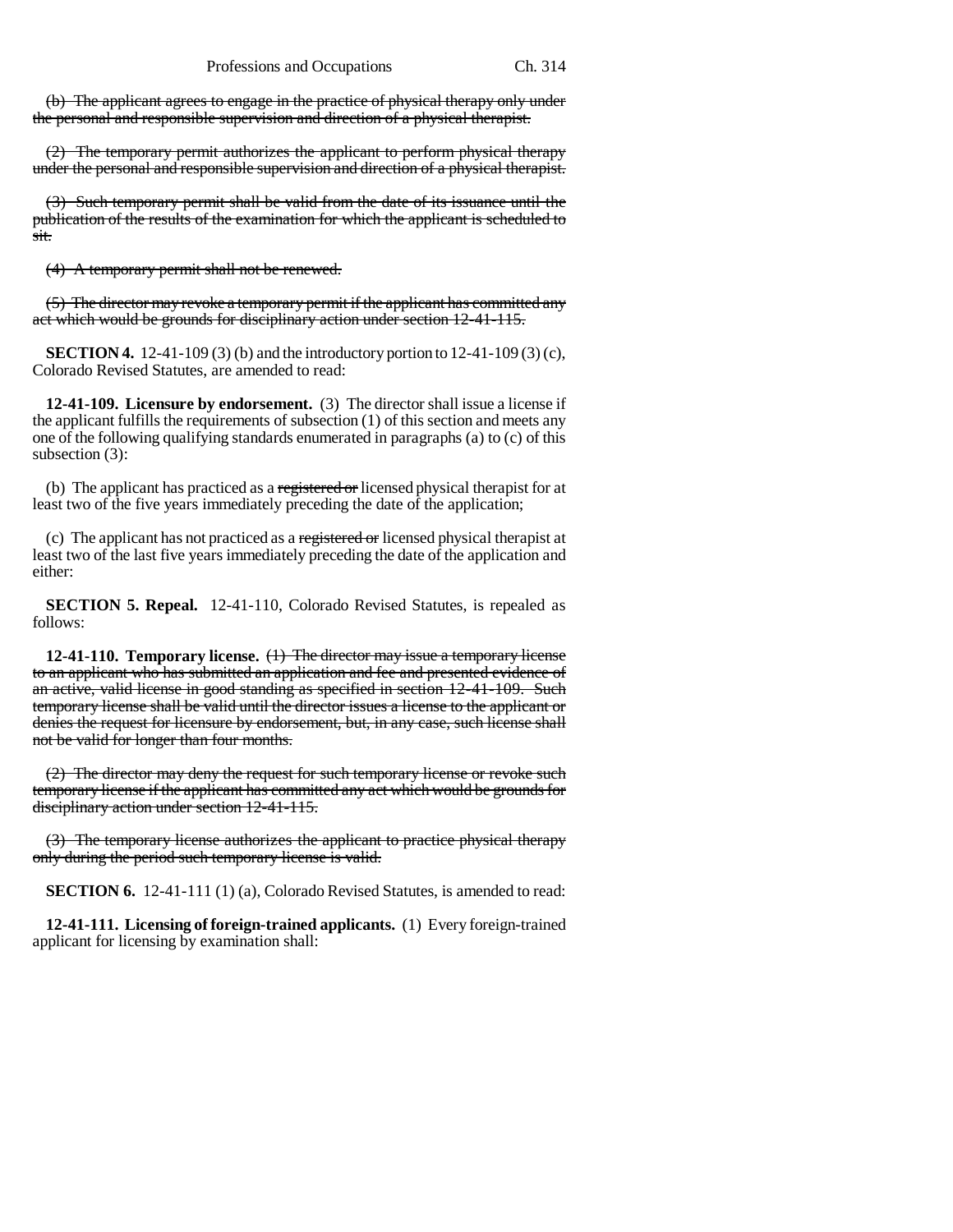(b) The applicant agrees to engage in the practice of physical therapy only under the personal and responsible supervision and direction of a physical therapist.

(2) The temporary permit authorizes the applicant to perform physical therapy under the personal and responsible supervision and direction of a physical therapist.

(3) Such temporary permit shall be valid from the date of its issuance until the publication of the results of the examination for which the applicant is scheduled to sit.

(4) A temporary permit shall not be renewed.

(5) The director may revoke a temporary permit if the applicant has committed any act which would be grounds for disciplinary action under section 12-41-115.

**SECTION 4.** 12-41-109 (3) (b) and the introductory portion to 12-41-109 (3) (c), Colorado Revised Statutes, are amended to read:

**12-41-109. Licensure by endorsement.** (3) The director shall issue a license if the applicant fulfills the requirements of subsection (1) of this section and meets any one of the following qualifying standards enumerated in paragraphs (a) to (c) of this subsection (3):

(b) The applicant has practiced as a registered or licensed physical therapist for at least two of the five years immediately preceding the date of the application;

(c) The applicant has not practiced as a registered or licensed physical therapist at least two of the last five years immediately preceding the date of the application and either:

**SECTION 5. Repeal.** 12-41-110, Colorado Revised Statutes, is repealed as follows:

**12-41-110. Temporary license.** (1) The director may issue a temporary license to an applicant who has submitted an application and fee and presented evidence of an active, valid license in good standing as specified in section 12-41-109. Such temporary license shall be valid until the director issues a license to the applicant or denies the request for licensure by endorsement, but, in any case, such license shall not be valid for longer than four months.

(2) The director may deny the request for such temporary license or revoke such temporary license if the applicant has committed any act which would be grounds for disciplinary action under section 12-41-115.

(3) The temporary license authorizes the applicant to practice physical therapy only during the period such temporary license is valid.

**SECTION 6.** 12-41-111 (1) (a), Colorado Revised Statutes, is amended to read:

**12-41-111. Licensing of foreign-trained applicants.** (1) Every foreign-trained applicant for licensing by examination shall: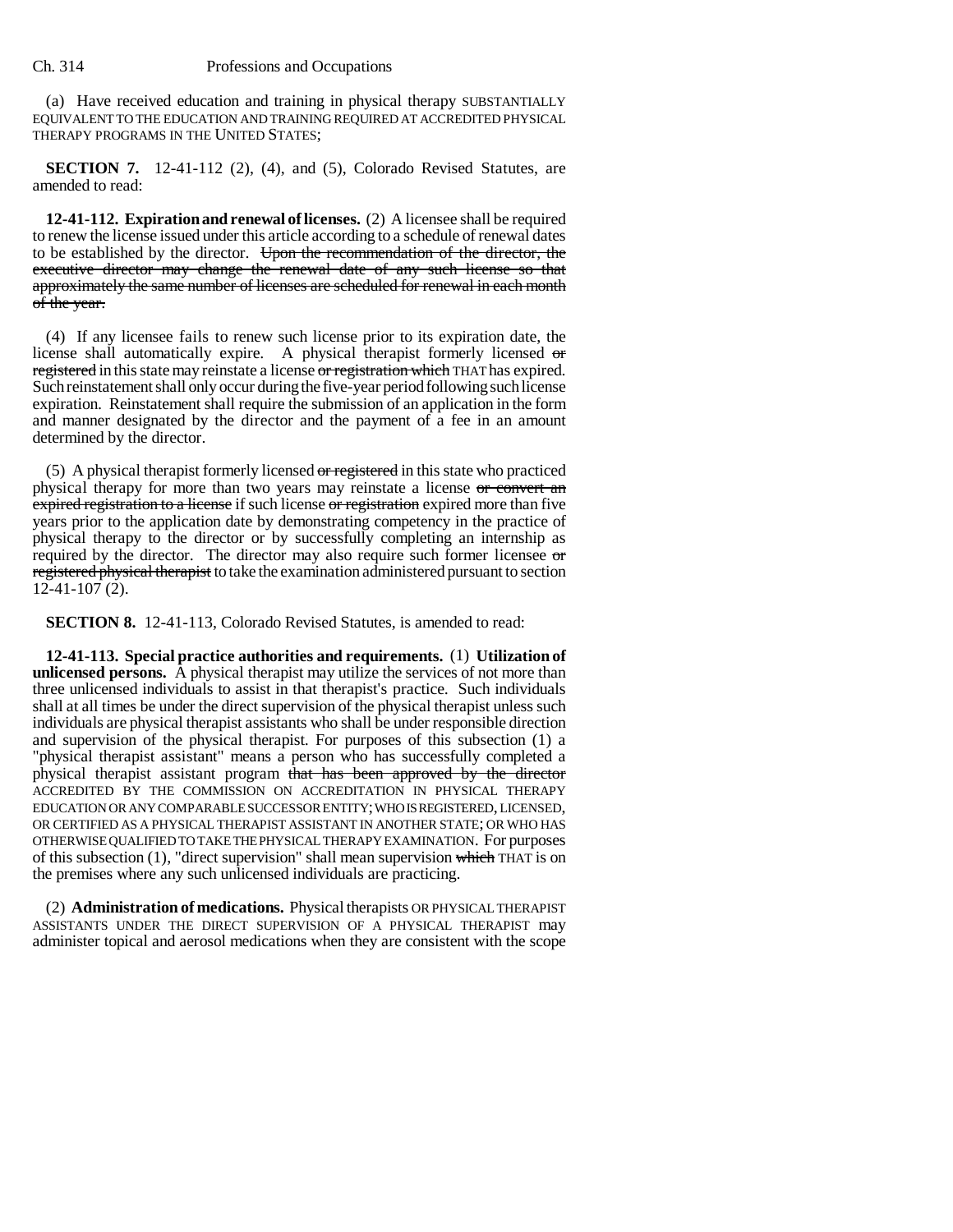(a) Have received education and training in physical therapy SUBSTANTIALLY EQUIVALENT TO THE EDUCATION AND TRAINING REQUIRED AT ACCREDITED PHYSICAL THERAPY PROGRAMS IN THE UNITED STATES;

**SECTION 7.** 12-41-112 (2), (4), and (5), Colorado Revised Statutes, are amended to read:

**12-41-112. Expiration and renewal of licenses.** (2) A licensee shall be required to renew the license issued under this article according to a schedule of renewal dates to be established by the director. Upon the recommendation of the director, the executive director may change the renewal date of any such license so that approximately the same number of licenses are scheduled for renewal in each month of the year.

(4) If any licensee fails to renew such license prior to its expiration date, the license shall automatically expire. A physical therapist formerly licensed or registered in this state may reinstate a license or registration which THAT has expired. Such reinstatement shall only occur during the five-year period following such license expiration. Reinstatement shall require the submission of an application in the form and manner designated by the director and the payment of a fee in an amount determined by the director.

(5) A physical therapist formerly licensed or registered in this state who practiced physical therapy for more than two years may reinstate a license or convert an expired registration to a license if such license or registration expired more than five years prior to the application date by demonstrating competency in the practice of physical therapy to the director or by successfully completing an internship as required by the director. The director may also require such former licensee or registered physical therapist to take the examination administered pursuant to section  $12-41-107(2)$ .

**SECTION 8.** 12-41-113, Colorado Revised Statutes, is amended to read:

**12-41-113. Special practice authorities and requirements.** (1) **Utilization of unlicensed persons.** A physical therapist may utilize the services of not more than three unlicensed individuals to assist in that therapist's practice. Such individuals shall at all times be under the direct supervision of the physical therapist unless such individuals are physical therapist assistants who shall be under responsible direction and supervision of the physical therapist. For purposes of this subsection (1) a "physical therapist assistant" means a person who has successfully completed a physical therapist assistant program that has been approved by the director ACCREDITED BY THE COMMISSION ON ACCREDITATION IN PHYSICAL THERAPY EDUCATION OR ANY COMPARABLE SUCCESSOR ENTITY; WHO IS REGISTERED, LICENSED, OR CERTIFIED AS A PHYSICAL THERAPIST ASSISTANT IN ANOTHER STATE; OR WHO HAS OTHERWISE QUALIFIED TO TAKE THE PHYSICAL THERAPY EXAMINATION. For purposes of this subsection  $(1)$ , "direct supervision" shall mean supervision which THAT is on the premises where any such unlicensed individuals are practicing.

(2) **Administration of medications.** Physical therapists OR PHYSICAL THERAPIST ASSISTANTS UNDER THE DIRECT SUPERVISION OF A PHYSICAL THERAPIST may administer topical and aerosol medications when they are consistent with the scope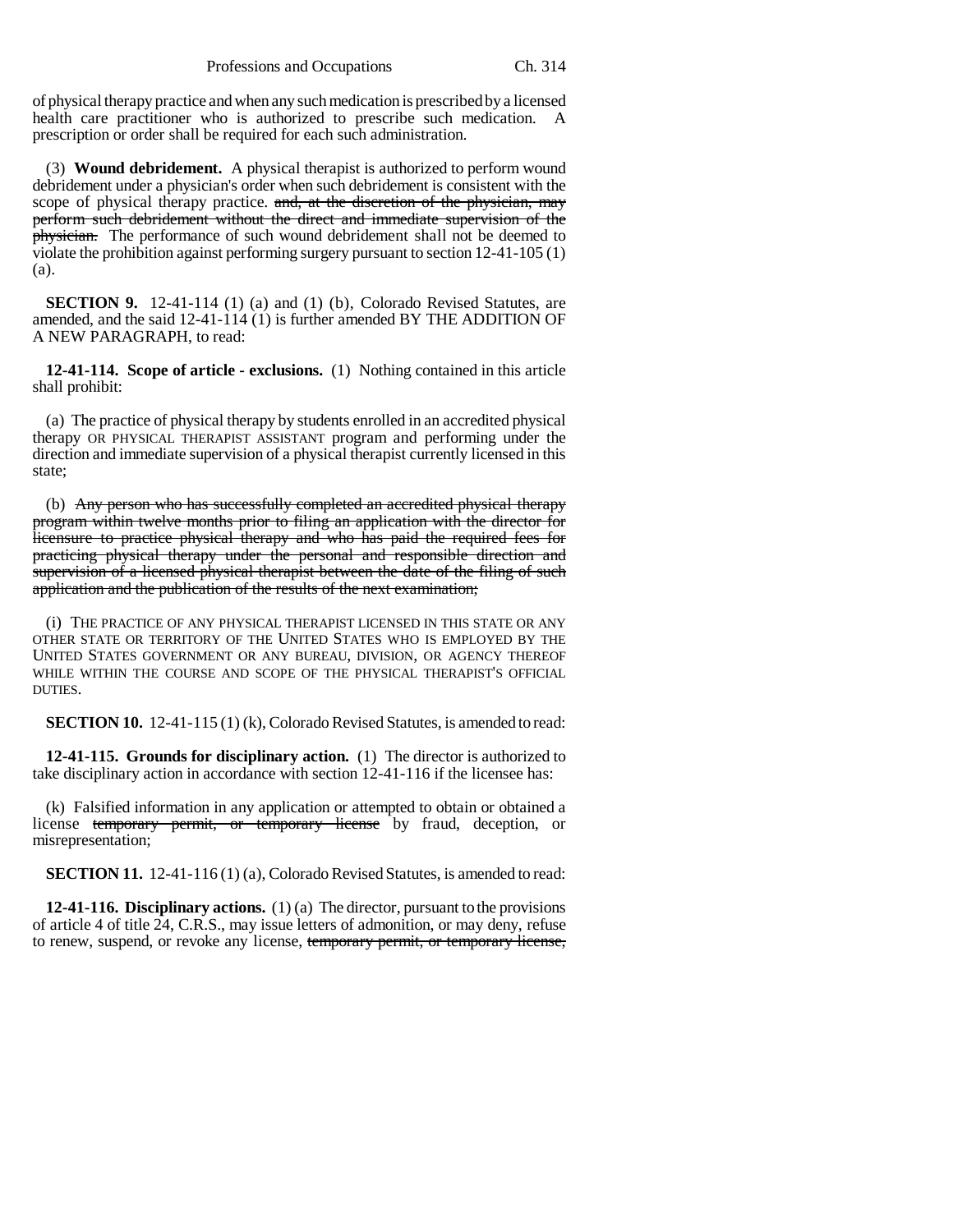of physical therapy practice and when any such medication is prescribed by a licensed health care practitioner who is authorized to prescribe such medication. A prescription or order shall be required for each such administration.

(3) **Wound debridement.** A physical therapist is authorized to perform wound debridement under a physician's order when such debridement is consistent with the scope of physical therapy practice. and, at the discretion of the physician, may perform such debridement without the direct and immediate supervision of the **physician.** The performance of such wound debridement shall not be deemed to violate the prohibition against performing surgery pursuant to section 12-41-105 (1) (a).

**SECTION 9.** 12-41-114 (1) (a) and (1) (b), Colorado Revised Statutes, are amended, and the said 12-41-114 (1) is further amended BY THE ADDITION OF A NEW PARAGRAPH, to read:

**12-41-114. Scope of article - exclusions.** (1) Nothing contained in this article shall prohibit:

(a) The practice of physical therapy by students enrolled in an accredited physical therapy OR PHYSICAL THERAPIST ASSISTANT program and performing under the direction and immediate supervision of a physical therapist currently licensed in this state;

(b) Any person who has successfully completed an accredited physical therapy program within twelve months prior to filing an application with the director for licensure to practice physical therapy and who has paid the required fees for practicing physical therapy under the personal and responsible direction and supervision of a licensed physical therapist between the date of the filing of such application and the publication of the results of the next examination;

(i) THE PRACTICE OF ANY PHYSICAL THERAPIST LICENSED IN THIS STATE OR ANY OTHER STATE OR TERRITORY OF THE UNITED STATES WHO IS EMPLOYED BY THE UNITED STATES GOVERNMENT OR ANY BUREAU, DIVISION, OR AGENCY THEREOF WHILE WITHIN THE COURSE AND SCOPE OF THE PHYSICAL THERAPIST'S OFFICIAL DUTIES.

**SECTION 10.** 12-41-115 (1) (k), Colorado Revised Statutes, is amended to read:

**12-41-115. Grounds for disciplinary action.** (1) The director is authorized to take disciplinary action in accordance with section 12-41-116 if the licensee has:

(k) Falsified information in any application or attempted to obtain or obtained a license temporary permit, or temporary license by fraud, deception, or misrepresentation;

**SECTION 11.** 12-41-116 (1) (a), Colorado Revised Statutes, is amended to read:

**12-41-116. Disciplinary actions.** (1) (a) The director, pursuant to the provisions of article 4 of title 24, C.R.S., may issue letters of admonition, or may deny, refuse to renew, suspend, or revoke any license, temporary permit, or temporary license,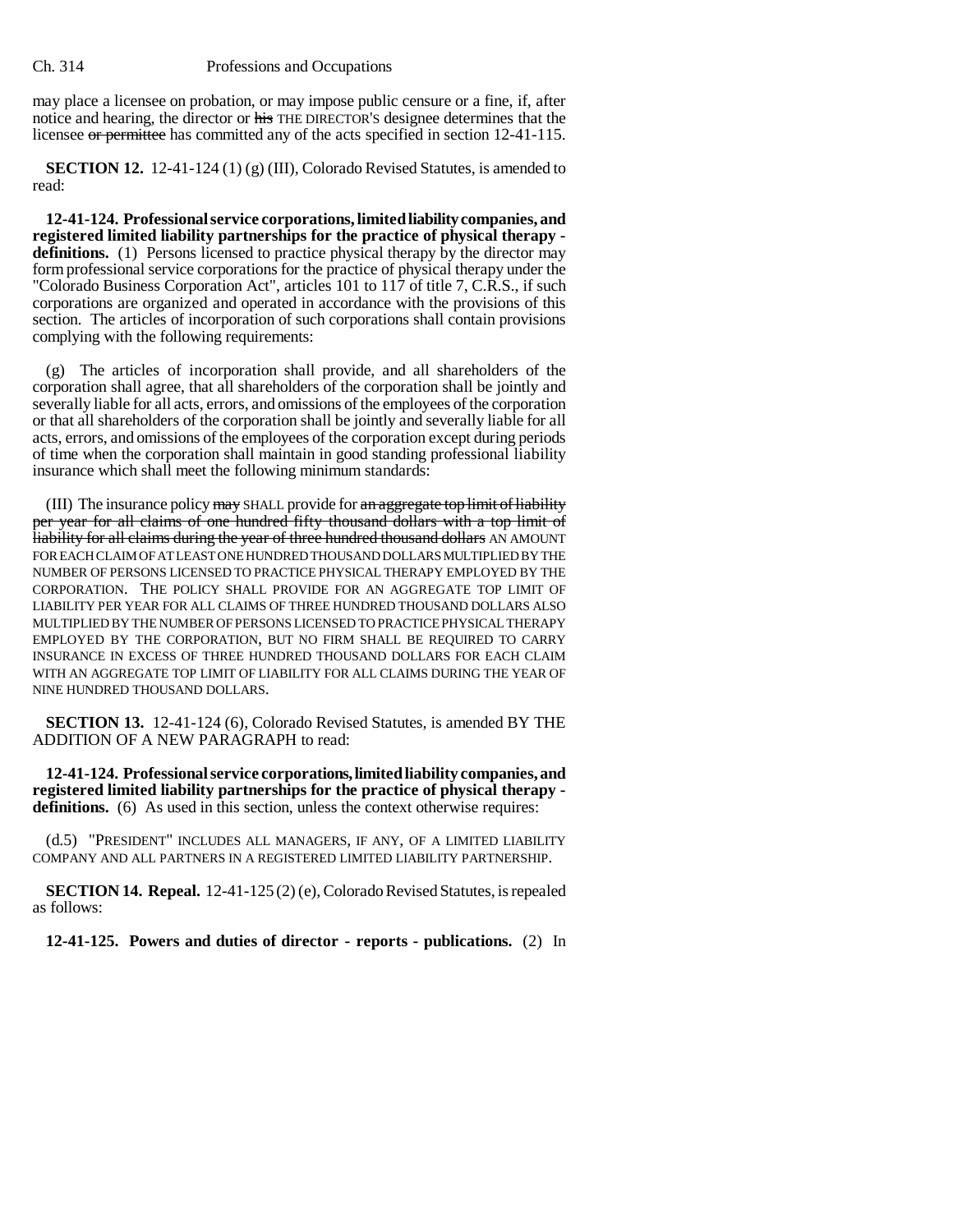## Ch. 314 Professions and Occupations

may place a licensee on probation, or may impose public censure or a fine, if, after notice and hearing, the director or his THE DIRECTOR'S designee determines that the licensee or permittee has committed any of the acts specified in section 12-41-115.

**SECTION 12.** 12-41-124 (1) (g) (III), Colorado Revised Statutes, is amended to read:

**12-41-124. Professional service corporations, limited liability companies, and registered limited liability partnerships for the practice of physical therapy definitions.** (1) Persons licensed to practice physical therapy by the director may form professional service corporations for the practice of physical therapy under the "Colorado Business Corporation Act", articles 101 to 117 of title 7, C.R.S., if such corporations are organized and operated in accordance with the provisions of this section. The articles of incorporation of such corporations shall contain provisions complying with the following requirements:

(g) The articles of incorporation shall provide, and all shareholders of the corporation shall agree, that all shareholders of the corporation shall be jointly and severally liable for all acts, errors, and omissions of the employees of the corporation or that all shareholders of the corporation shall be jointly and severally liable for all acts, errors, and omissions of the employees of the corporation except during periods of time when the corporation shall maintain in good standing professional liability insurance which shall meet the following minimum standards:

(III) The insurance policy may SHALL provide for an aggregate top limit of liability per year for all claims of one hundred fifty thousand dollars with a top limit of liability for all claims during the year of three hundred thousand dollars AN AMOUNT FOR EACH CLAIM OF AT LEAST ONE HUNDRED THOUSAND DOLLARS MULTIPLIED BY THE NUMBER OF PERSONS LICENSED TO PRACTICE PHYSICAL THERAPY EMPLOYED BY THE CORPORATION. THE POLICY SHALL PROVIDE FOR AN AGGREGATE TOP LIMIT OF LIABILITY PER YEAR FOR ALL CLAIMS OF THREE HUNDRED THOUSAND DOLLARS ALSO MULTIPLIED BY THE NUMBER OF PERSONS LICENSED TO PRACTICE PHYSICAL THERAPY EMPLOYED BY THE CORPORATION, BUT NO FIRM SHALL BE REQUIRED TO CARRY INSURANCE IN EXCESS OF THREE HUNDRED THOUSAND DOLLARS FOR EACH CLAIM WITH AN AGGREGATE TOP LIMIT OF LIABILITY FOR ALL CLAIMS DURING THE YEAR OF NINE HUNDRED THOUSAND DOLLARS.

**SECTION 13.** 12-41-124 (6), Colorado Revised Statutes, is amended BY THE ADDITION OF A NEW PARAGRAPH to read:

**12-41-124. Professional service corporations, limited liability companies, and registered limited liability partnerships for the practice of physical therapy**  definitions. (6) As used in this section, unless the context otherwise requires:

(d.5) "PRESIDENT" INCLUDES ALL MANAGERS, IF ANY, OF A LIMITED LIABILITY COMPANY AND ALL PARTNERS IN A REGISTERED LIMITED LIABILITY PARTNERSHIP.

**SECTION 14. Repeal.** 12-41-125 (2) (e), Colorado Revised Statutes, is repealed as follows:

**12-41-125. Powers and duties of director - reports - publications.** (2) In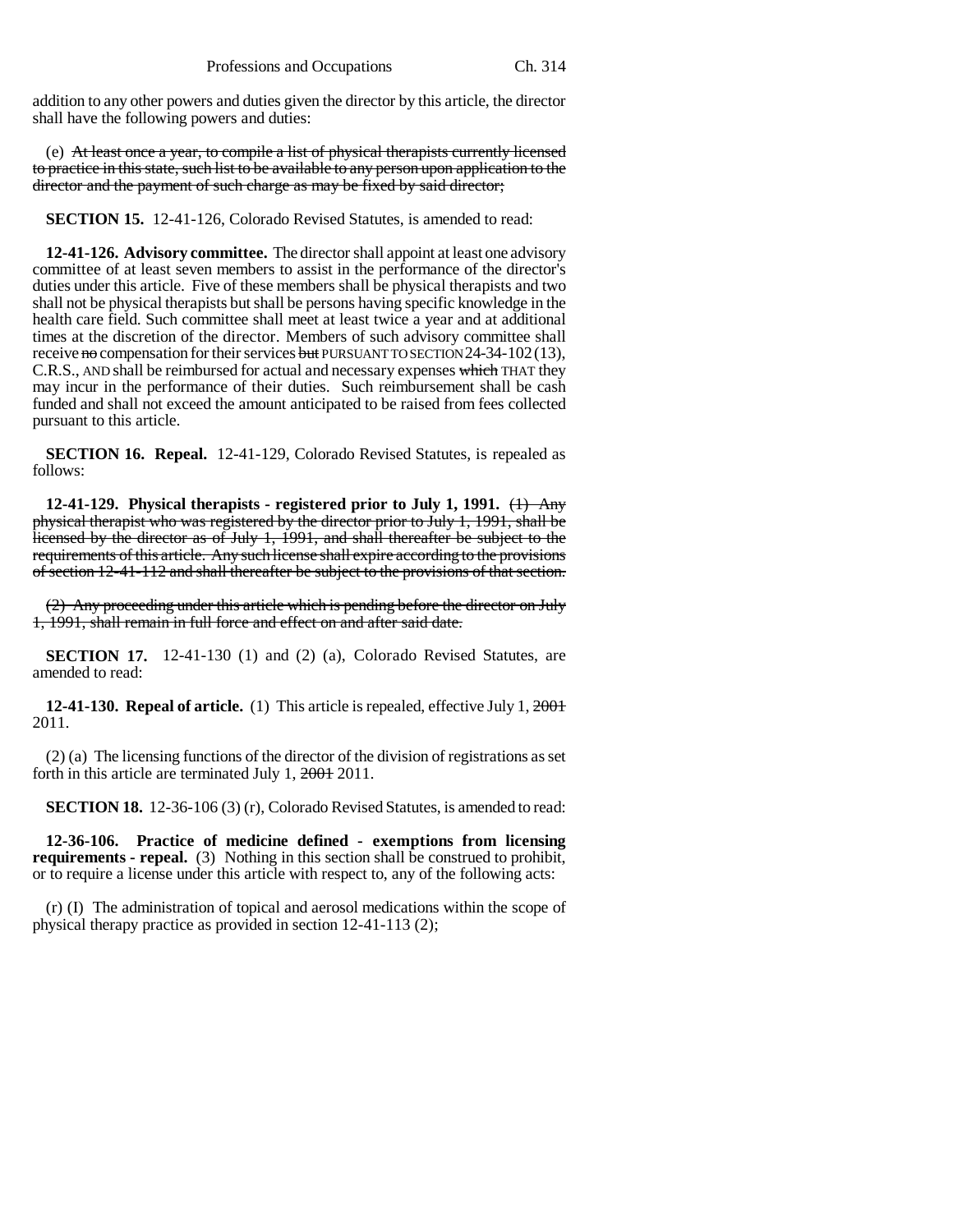addition to any other powers and duties given the director by this article, the director shall have the following powers and duties:

(e) At least once a year, to compile a list of physical therapists currently licensed to practice in this state, such list to be available to any person upon application to the director and the payment of such charge as may be fixed by said director;

**SECTION 15.** 12-41-126, Colorado Revised Statutes, is amended to read:

**12-41-126. Advisory committee.** The director shall appoint at least one advisory committee of at least seven members to assist in the performance of the director's duties under this article. Five of these members shall be physical therapists and two shall not be physical therapists but shall be persons having specific knowledge in the health care field. Such committee shall meet at least twice a year and at additional times at the discretion of the director. Members of such advisory committee shall receive no compensation for their services but PURSUANT TO SECTION  $24-34-102(13)$ , C.R.S., AND shall be reimbursed for actual and necessary expenses which THAT they may incur in the performance of their duties. Such reimbursement shall be cash funded and shall not exceed the amount anticipated to be raised from fees collected pursuant to this article.

**SECTION 16. Repeal.** 12-41-129, Colorado Revised Statutes, is repealed as follows:

**12-41-129. Physical therapists - registered prior to July 1, 1991.** (1) Any physical therapist who was registered by the director prior to July 1, 1991, shall be licensed by the director as of July 1, 1991, and shall thereafter be subject to the requirements of this article. Any such license shall expire according to the provisions of section 12-41-112 and shall thereafter be subject to the provisions of that section.

(2) Any proceeding under this article which is pending before the director on July 1, 1991, shall remain in full force and effect on and after said date.

**SECTION 17.** 12-41-130 (1) and (2) (a), Colorado Revised Statutes, are amended to read:

**12-41-130. Repeal of article.** (1) This article is repealed, effective July 1, 2001 2011.

(2) (a) The licensing functions of the director of the division of registrations as set forth in this article are terminated July 1, 2001 2011.

**SECTION 18.** 12-36-106 (3) (r), Colorado Revised Statutes, is amended to read:

**12-36-106. Practice of medicine defined - exemptions from licensing requirements - repeal.** (3) Nothing in this section shall be construed to prohibit, or to require a license under this article with respect to, any of the following acts:

(r) (I) The administration of topical and aerosol medications within the scope of physical therapy practice as provided in section 12-41-113 (2);